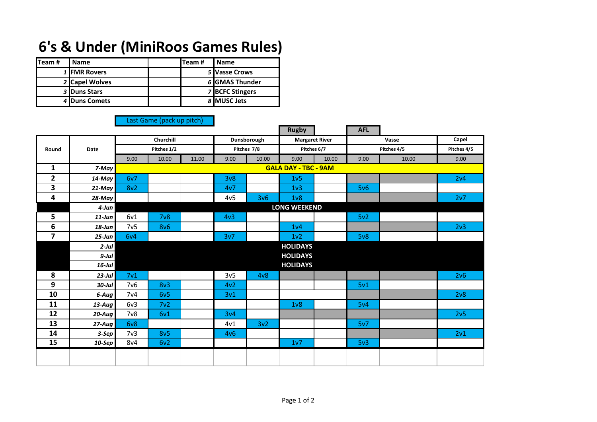## **6's & Under (MiniRoos Games Rules)**

| ITeam# | <b>Name</b>          | lTeam # | <b>Name</b>            |
|--------|----------------------|---------|------------------------|
|        | 1 <b>IFMR Rovers</b> |         | 5 Vasse Crows          |
|        | 2 Capel Wolves       |         | 6 GMAS Thunder         |
|        | 3 Duns Stars         |         | <b>7 BCFC Stingers</b> |
|        | 4 Duns Comets        |         | 8 <b>IMUSC</b> Jets    |

## Last Game (pack up pitch)

|                         |            |                     |                             |             |                  |             | <b>Rugby</b>          |             | <b>AFL</b> |             |                 |
|-------------------------|------------|---------------------|-----------------------------|-------------|------------------|-------------|-----------------------|-------------|------------|-------------|-----------------|
| Round                   |            |                     | <b>Churchill</b>            |             |                  | Dunsborough | <b>Margaret River</b> |             |            | Vasse       | Capel           |
|                         | Date       | Pitches 1/2         |                             | Pitches 7/8 |                  | Pitches 6/7 |                       | Pitches 4/5 |            | Pitches 4/5 |                 |
|                         |            | 9.00                | 10.00                       | 11.00       | 9.00             | 10.00       | 9.00                  | 10.00       | 9.00       | 10.00       | 9.00            |
| 1                       | 7-May      |                     | <b>GALA DAY - TBC - 9AM</b> |             |                  |             |                       |             |            |             |                 |
| $\mathbf{2}$            | 14-May     | 6v7                 |                             |             | 3 <sub>v</sub> 8 |             | 1 <sub>v</sub> 5      |             |            |             | 2v4             |
| 3                       | 21-May     | 8v <sub>2</sub>     |                             |             | 4v7              |             | 1 <sub>v</sub> 3      |             | 5v6        |             |                 |
| 4                       | 28-May     |                     |                             |             | 4v <sub>5</sub>  | 3v6         | 1 <sub>v</sub>        |             |            |             | 2v7             |
|                         | 4-Jun      | <b>LONG WEEKEND</b> |                             |             |                  |             |                       |             |            |             |                 |
| 5                       | $11$ -Jun  | 6v1                 | 7 <sub>v</sub> 8            |             | 4v <sub>3</sub>  |             |                       |             | 5v2        |             |                 |
| 6                       | $18$ -Jun  | 7v5                 | <b>8v6</b>                  |             |                  |             | 1 <sub>v</sub> 4      |             |            |             | 2 <sub>v3</sub> |
| $\overline{\mathbf{z}}$ | $25 - Jun$ | 6v4                 |                             |             | 3v7              |             | 1v2                   |             | 5v8        |             |                 |
|                         | $2$ -Jul   |                     |                             |             |                  |             | <b>HOLIDAYS</b>       |             |            |             |                 |
|                         | $9$ -Jul   |                     |                             |             |                  |             | <b>HOLIDAYS</b>       |             |            |             |                 |
|                         | $16$ -Jul  |                     |                             |             |                  |             | <b>HOLIDAYS</b>       |             |            |             |                 |
| 8                       | $23$ -Jul  | 7 <sub>v1</sub>     |                             |             | 3v <sub>5</sub>  | 4v8         |                       |             |            |             | 2v6             |
| 9                       | $30$ -Jul  | 7 <sub>v</sub> 6    | 8v3                         |             | 4v2              |             |                       |             | 5v1        |             |                 |
| 10                      | 6-Aug      | 7 <sub>v4</sub>     | 6v5                         |             | 3v1              |             |                       |             |            |             | 2v8             |
| 11                      | $13$ -Aug  | 6v3                 | 7v2                         |             |                  |             | 1 <sub>v</sub> 8      |             | 5v4        |             |                 |
| 12                      | $20$ -Aug  | 7v8                 | 6v1                         |             | 3v4              |             |                       |             |            |             | 2v5             |
| 13                      | 27-Aug     | 6v8                 |                             |             | 4v1              | 3v2         |                       |             | 5v7        |             |                 |
| 14                      | 3-Sep      | 7 <sub>v3</sub>     | 8v5                         |             | 4v6              |             |                       |             |            |             | 2v1             |
| 15                      | $10-$ Sep  | 8v4                 | 6v2                         |             |                  |             | 1v7                   |             | 5v3        |             |                 |
|                         |            |                     |                             |             |                  |             |                       |             |            |             |                 |
|                         |            |                     |                             |             |                  |             |                       |             |            |             |                 |